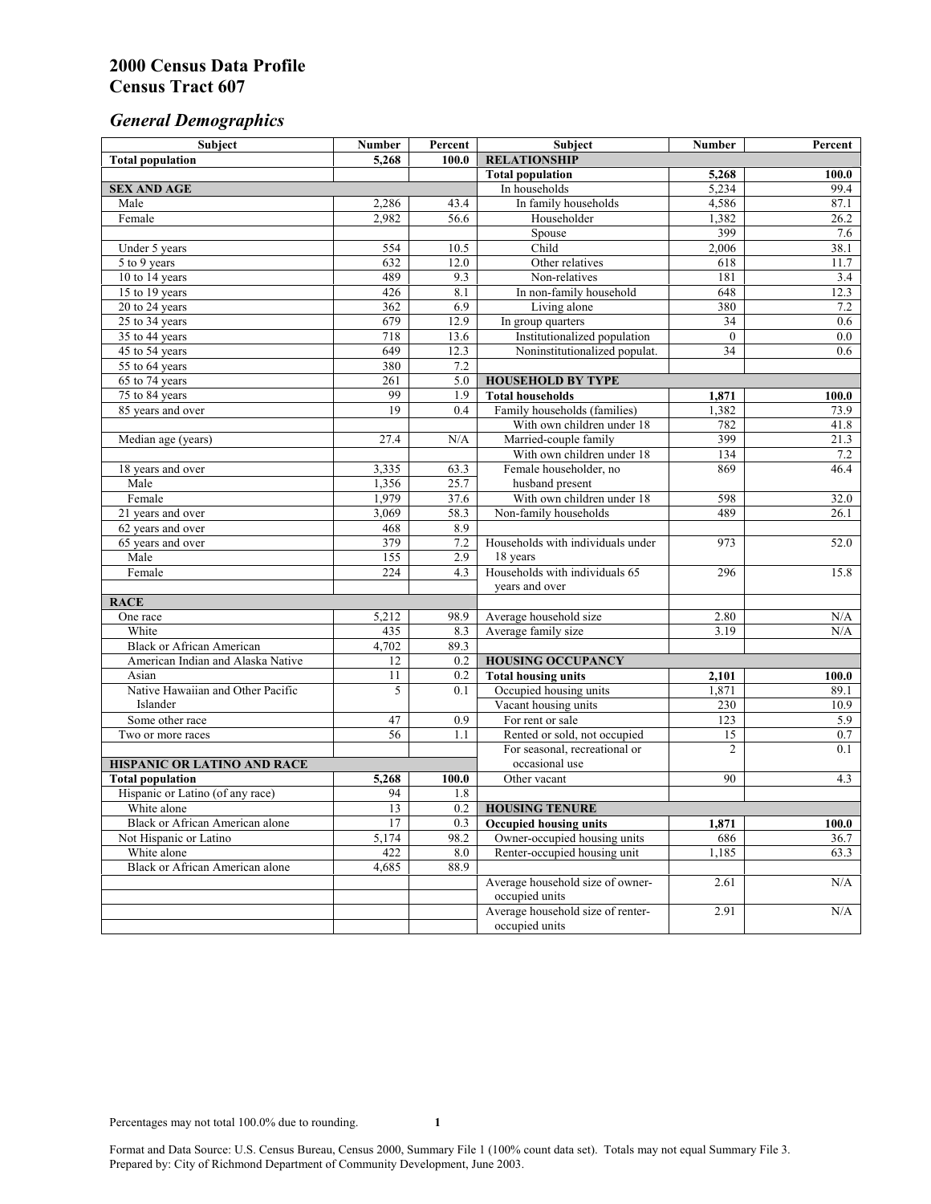# *General Demographics*

| Subject                           | <b>Number</b>   | Percent        | Subject                           | <b>Number</b>  | Percent   |
|-----------------------------------|-----------------|----------------|-----------------------------------|----------------|-----------|
| <b>Total population</b>           | 5,268           | 100.0          | <b>RELATIONSHIP</b>               |                |           |
|                                   |                 |                | <b>Total population</b>           | 5,268          | 100.0     |
| <b>SEX AND AGE</b>                |                 |                | In households                     | 5,234          | 99.4      |
| Male                              | 2,286           | 43.4           | In family households              | 4,586          | 87.1      |
| Female                            | 2,982           | 56.6           | Householder                       | 1,382          | 26.2      |
|                                   |                 |                | Spouse                            | 399            | 7.6       |
| Under 5 years                     | 554             | 10.5           | Child                             | 2,006          | 38.1      |
| 5 to 9 years                      | 632             | 12.0           | Other relatives                   | 618            | 11.7      |
| 10 to 14 years                    | 489             | 9.3            | Non-relatives                     | 181            | 3.4       |
| 15 to 19 years                    | 426             | 8.1            | In non-family household           | 648            | 12.3      |
| 20 to 24 years                    | 362             | 6.9            | Living alone                      | 380            | 7.2       |
| $25 \text{ to } 34$ years         | 679             | 12.9           | In group quarters                 | 34             | 0.6       |
| 35 to 44 years                    | 718             | 13.6           | Institutionalized population      | $\theta$       | 0.0       |
| 45 to 54 years                    | 649             | 12.3           | Noninstitutionalized populat.     | 34             | 0.6       |
| 55 to 64 years                    | 380             | 7.2            |                                   |                |           |
| 65 to 74 years                    | 261             | 5.0            | <b>HOUSEHOLD BY TYPE</b>          |                |           |
| 75 to 84 years                    | 99              | 1.9            | <b>Total households</b>           | 1,871          | 100.0     |
| 85 years and over                 | 19              | 0.4            | Family households (families)      | 1,382          | 73.9      |
|                                   |                 |                | With own children under 18        | 782            | 41.8      |
| Median age (years)                | 27.4            | N/A            | Married-couple family             | 399            | 21.3      |
|                                   |                 |                | With own children under 18        | 134            | 7.2       |
| 18 years and over                 | 3,335           | 63.3           | Female householder, no            | 869            | 46.4      |
| Male                              | 1,356           | 25.7           | husband present                   |                |           |
| Female                            | 1,979           | 37.6           | With own children under 18        | 598            | 32.0      |
| 21 years and over                 | 3,069           | 58.3           | Non-family households             | 489            | 26.1      |
| 62 years and over                 | 468             | 8.9            |                                   |                |           |
| 65 years and over                 | 379             | 7.2            | Households with individuals under | 973            | 52.0      |
| Male                              | 155             | 2.9            | 18 years                          |                |           |
| Female                            | 224             | 4.3            | Households with individuals 65    | 296            | 15.8      |
|                                   |                 | years and over |                                   |                |           |
| <b>RACE</b>                       |                 |                |                                   |                |           |
| One race                          | 5,212           | 98.9           | Average household size            | 2.80           | $\rm N/A$ |
| White                             | 435             | 8.3            | Average family size               | 3.19           | N/A       |
| <b>Black or African American</b>  | 4,702           | 89.3           |                                   |                |           |
| American Indian and Alaska Native | 12              | 0.2            | <b>HOUSING OCCUPANCY</b>          |                |           |
| Asian                             | 11              | 0.2            | <b>Total housing units</b>        | 2,101          | 100.0     |
| Native Hawaiian and Other Pacific | 5               | 0.1            | Occupied housing units            | 1,871          | 89.1      |
| Islander                          |                 |                | Vacant housing units              | 230            | 10.9      |
| Some other race                   | 47              | 0.9            | For rent or sale                  | 123            | 5.9       |
| Two or more races                 | $\overline{56}$ | 1.1            | Rented or sold, not occupied      | 15             | $0.7\,$   |
|                                   |                 |                | For seasonal, recreational or     | $\overline{2}$ | 0.1       |
| HISPANIC OR LATINO AND RACE       |                 |                | occasional use                    |                |           |
| <b>Total population</b>           | 5,268           | 100.0          | Other vacant                      | 90             | 4.3       |
| Hispanic or Latino (of any race)  | 94              | 1.8            |                                   |                |           |
| White alone                       | 13              | 0.2            | <b>HOUSING TENURE</b>             |                |           |
| Black or African American alone   | 17              | 0.3            | <b>Occupied housing units</b>     | 1,871          | 100.0     |
| Not Hispanic or Latino            | 5,174           | 98.2           | Owner-occupied housing units      | 686            | 36.7      |
| White alone                       | 422             | $8.0\,$        | Renter-occupied housing unit      | 1,185          | 63.3      |
| Black or African American alone   | 4,685           | 88.9           |                                   |                |           |
|                                   |                 |                | Average household size of owner-  | 2.61           | N/A       |
|                                   |                 |                | occupied units                    |                |           |
|                                   |                 |                | Average household size of renter- | 2.91           | N/A       |
|                                   |                 |                | occupied units                    |                |           |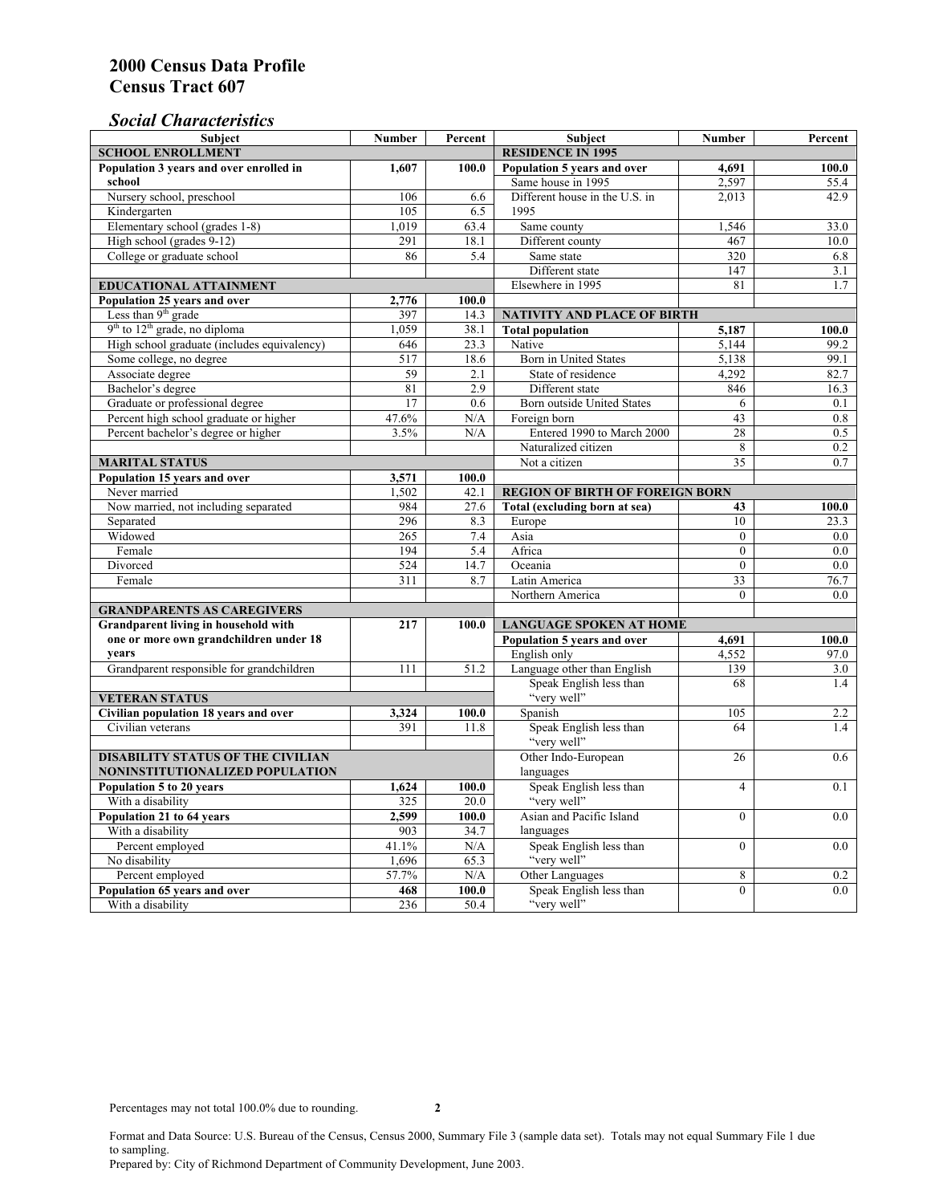### *Social Characteristics*

| <b>Subject</b>                              | <b>Number</b>            | Percent                        | <b>Subject</b>                         | <b>Number</b>  | Percent          |  |  |  |
|---------------------------------------------|--------------------------|--------------------------------|----------------------------------------|----------------|------------------|--|--|--|
| <b>SCHOOL ENROLLMENT</b>                    | <b>RESIDENCE IN 1995</b> |                                |                                        |                |                  |  |  |  |
| Population 3 years and over enrolled in     | 1,607                    | 100.0                          | Population 5 years and over            | 4,691          | 100.0            |  |  |  |
| school                                      |                          |                                | Same house in 1995                     | 2,597          | 55.4             |  |  |  |
| Nursery school, preschool                   | 106                      | 6.6                            | Different house in the U.S. in         | 2.013          | 42.9             |  |  |  |
| Kindergarten                                | 105                      | 6.5                            | 1995                                   |                |                  |  |  |  |
| Elementary school (grades 1-8)              | 1,019                    | 63.4                           | Same county                            | 1,546          | 33.0             |  |  |  |
| High school (grades 9-12)                   | 291                      | 18.1                           | Different county                       | 467            | 10.0             |  |  |  |
| College or graduate school                  | 86                       | 5.4                            | Same state                             | 320            | 6.8              |  |  |  |
|                                             |                          |                                | Different state                        | 147            | 3.1              |  |  |  |
| EDUCATIONAL ATTAINMENT                      |                          |                                | Elsewhere in 1995                      | 81             | 1.7              |  |  |  |
| Population 25 years and over                | 2,776                    | 100.0                          |                                        |                |                  |  |  |  |
| Less than $9th$ grade                       | 397                      | 14.3                           | <b>NATIVITY AND PLACE OF BIRTH</b>     |                |                  |  |  |  |
| $9th$ to $12th$ grade, no diploma           | 1,059                    | 38.1                           | <b>Total population</b>                | 5,187          | 100.0            |  |  |  |
| High school graduate (includes equivalency) | 646                      | 23.3                           | Native                                 | 5,144          | 99.2             |  |  |  |
| Some college, no degree                     | 517                      | 18.6                           | Born in United States                  | 5,138          | 99.1             |  |  |  |
| Associate degree                            | 59                       | 2.1                            | State of residence                     | 4,292          | 82.7             |  |  |  |
| Bachelor's degree                           | 81                       | 2.9                            | Different state                        | 846            | 16.3             |  |  |  |
| Graduate or professional degree             | 17                       | 0.6                            | Born outside United States             | 6              | 0.1              |  |  |  |
| Percent high school graduate or higher      | 47.6%                    | N/A                            | Foreign born                           | 43             | 0.8              |  |  |  |
| Percent bachelor's degree or higher         | 3.5%                     | N/A                            | Entered 1990 to March 2000             | 28             | 0.5              |  |  |  |
|                                             |                          |                                | Naturalized citizen                    | 8              | $\overline{0.2}$ |  |  |  |
| <b>MARITAL STATUS</b>                       |                          |                                | Not a citizen                          | 35             | 0.7              |  |  |  |
| Population 15 years and over                | 3,571                    | 100.0                          |                                        |                |                  |  |  |  |
| Never married                               | 1,502                    | 42.1                           | <b>REGION OF BIRTH OF FOREIGN BORN</b> |                |                  |  |  |  |
| Now married, not including separated        | 984                      | 27.6                           | Total (excluding born at sea)          | 43             | 100.0            |  |  |  |
| Separated                                   | 296                      | 8.3                            | Europe                                 | 10             | 23.3             |  |  |  |
| Widowed                                     | 265                      | 7.4                            | Asia                                   | $\mathbf{0}$   | $0.0\,$          |  |  |  |
| Female                                      | 194                      | 5.4                            | Africa                                 | $\theta$       | 0.0              |  |  |  |
| Divorced                                    | 524                      | 14.7                           | Oceania                                | $\theta$       | 0.0              |  |  |  |
| Female                                      | 311                      | 8.7                            | Latin America                          | 33             | 76.7             |  |  |  |
|                                             |                          |                                | Northern America                       | $\theta$       | 0.0              |  |  |  |
| <b>GRANDPARENTS AS CAREGIVERS</b>           |                          |                                |                                        |                |                  |  |  |  |
| <b>Grandparent living in household with</b> | 100.0                    | <b>LANGUAGE SPOKEN AT HOME</b> |                                        |                |                  |  |  |  |
| one or more own grandchildren under 18      |                          |                                | Population 5 years and over            | 4,691          | 100.0            |  |  |  |
| years                                       |                          |                                | English only                           | 4,552          | 97.0             |  |  |  |
| Grandparent responsible for grandchildren   | 111                      | 51.2                           | Language other than English            | 139            | 3.0              |  |  |  |
|                                             |                          |                                | Speak English less than                | 68             | 1.4              |  |  |  |
| <b>VETERAN STATUS</b>                       |                          |                                | "very well"                            |                |                  |  |  |  |
| Civilian population 18 years and over       | 3,324                    | 100.0                          | Spanish                                | 105            | 2.2              |  |  |  |
| Civilian veterans                           | 391                      | 11.8                           | Speak English less than                | 64             | 1.4              |  |  |  |
|                                             |                          |                                | "very well"                            |                |                  |  |  |  |
| <b>DISABILITY STATUS OF THE CIVILIAN</b>    |                          | Other Indo-European            | 26                                     | 0.6            |                  |  |  |  |
| NONINSTITUTIONALIZED POPULATION             |                          | languages                      |                                        |                |                  |  |  |  |
| Population 5 to 20 years                    | 1,624                    | 100.0                          | Speak English less than                | $\overline{4}$ | 0.1              |  |  |  |
| With a disability                           | 325                      | 20.0                           | "very well"                            |                |                  |  |  |  |
| Population 21 to 64 years                   | 2,599                    | 100.0                          | Asian and Pacific Island               | $\theta$       | 0.0              |  |  |  |
| With a disability                           | 903                      | 34.7                           | languages                              |                |                  |  |  |  |
| Percent employed                            | 41.1%                    | N/A                            | Speak English less than                | $\theta$       | 0.0              |  |  |  |
| No disability                               | 1,696                    | 65.3                           | "very well"                            |                |                  |  |  |  |
| Percent employed                            | 57.7%                    | N/A                            | Other Languages                        | 8              | 0.2              |  |  |  |
| Population 65 years and over                | 468                      | 100.0                          | Speak English less than                | $\overline{0}$ | 0.0              |  |  |  |
| With a disability                           | 236                      | 50.4                           | "very well"                            |                |                  |  |  |  |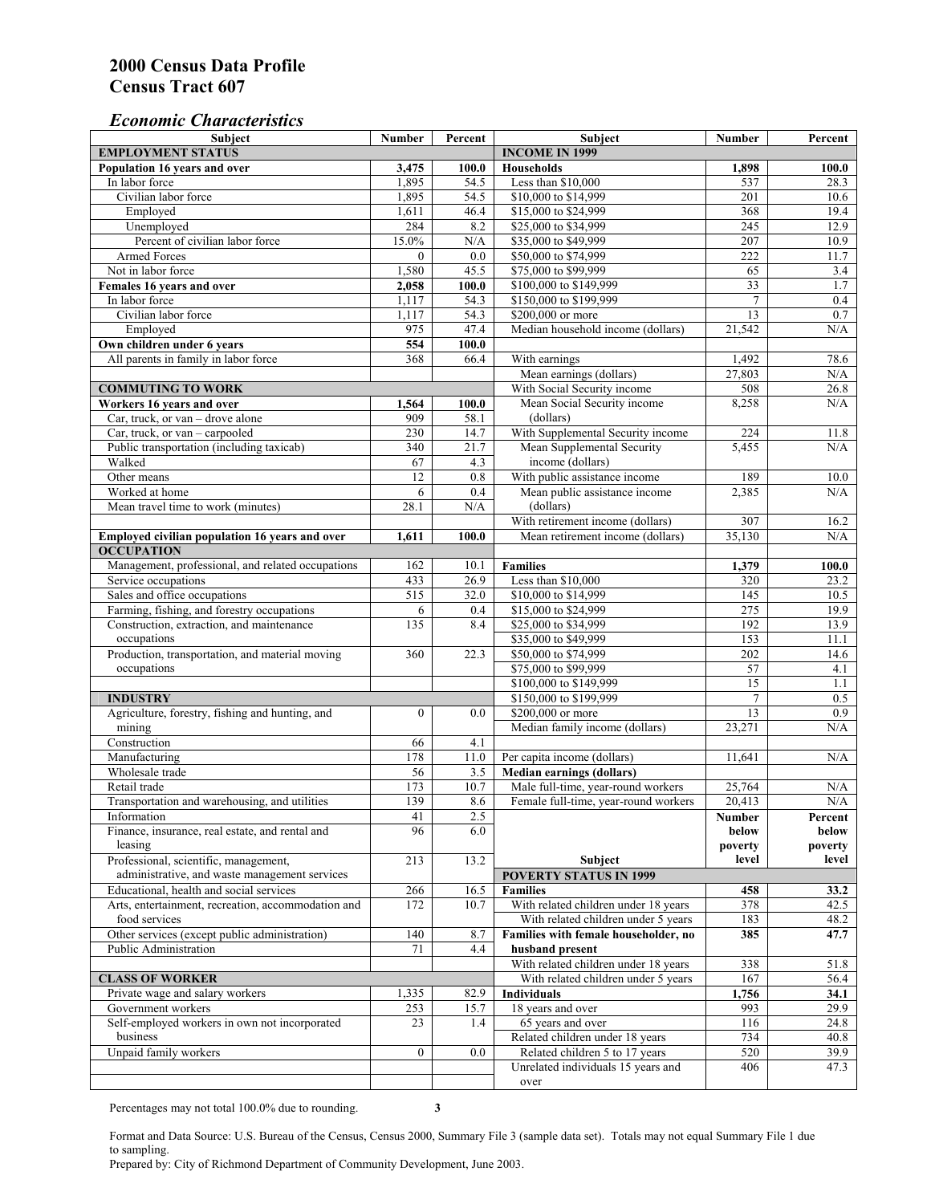### *Economic Characteristics*

| <b>Subject</b>                                                 | Number           | Percent     | Subject                                                                | Number           | Percent          |
|----------------------------------------------------------------|------------------|-------------|------------------------------------------------------------------------|------------------|------------------|
| <b>EMPLOYMENT STATUS</b>                                       |                  |             | <b>INCOME IN 1999</b>                                                  |                  |                  |
| Population 16 years and over                                   | 3,475            | 100.0       | Households                                                             | 1,898            | 100.0            |
| In labor force                                                 | 1,895            | 54.5        | Less than \$10,000                                                     | 537              | 28.3             |
| Civilian labor force                                           | 1,895            | 54.5        | \$10,000 to \$14,999                                                   | 201              | 10.6             |
| Employed                                                       | 1,611            | 46.4        | \$15,000 to \$24,999                                                   | 368              | 19.4             |
| Unemployed                                                     | 284              | 8.2         | \$25,000 to \$34,999                                                   | $\overline{245}$ | 12.9             |
| Percent of civilian labor force                                | 15.0%            | N/A         | \$35,000 to \$49,999                                                   | 207              | 10.9             |
| Armed Forces                                                   | $\mathbf{0}$     | 0.0         | \$50,000 to \$74,999                                                   | 222              | 11.7             |
| Not in labor force                                             | 1,580            | 45.5        | \$75,000 to \$99,999                                                   | 65               | 3.4              |
| Females 16 years and over                                      | 2,058            | 100.0       | \$100,000 to \$149,999                                                 | $\overline{33}$  | 1.7              |
| In labor force                                                 | 1,117            | 54.3        | \$150,000 to \$199,999                                                 | $\overline{7}$   | 0.4              |
| Civilian labor force                                           | 1,117            | 54.3        | \$200,000 or more                                                      | 13               | 0.7              |
| Employed                                                       | 975              | 47.4        | Median household income (dollars)                                      | 21,542           | N/A              |
| Own children under 6 years                                     | 554              | 100.0       |                                                                        |                  |                  |
| All parents in family in labor force                           | 368              | 66.4        | With earnings                                                          | 1,492            | 78.6             |
|                                                                |                  |             | Mean earnings (dollars)                                                | 27,803           | N/A              |
| <b>COMMUTING TO WORK</b>                                       |                  |             | With Social Security income                                            | 508              | 26.8             |
| Workers 16 years and over                                      | 1,564            | 100.0       | Mean Social Security income                                            | 8,258            | N/A              |
| Car, truck, or van – drove alone                               | 909              | 58.1        | (dollars)                                                              |                  |                  |
| Car, truck, or van - carpooled                                 | 230              | 14.7        | With Supplemental Security income                                      | 224              | 11.8             |
| Public transportation (including taxicab)                      | 340              | 21.7        | Mean Supplemental Security                                             | 5,455            | N/A              |
| Walked                                                         | 67               | 4.3         | income (dollars)                                                       |                  |                  |
| Other means                                                    | $\overline{12}$  | 0.8         | With public assistance income                                          | 189              | 10.0             |
| Worked at home                                                 | 6                | 0.4         | Mean public assistance income                                          | 2,385            | N/A              |
| Mean travel time to work (minutes)                             | 28.1             | N/A         | (dollars)                                                              |                  |                  |
|                                                                |                  |             | With retirement income (dollars)                                       | 307              | 16.2             |
| Employed civilian population 16 years and over                 | 1,611            | 100.0       | Mean retirement income (dollars)                                       | 35,130           | N/A              |
| <b>OCCUPATION</b>                                              |                  |             |                                                                        |                  |                  |
| Management, professional, and related occupations              | 162              | 10.1        | <b>Families</b>                                                        | 1,379            | 100.0            |
| Service occupations                                            | 433              | 26.9        | Less than \$10,000                                                     | 320              | 23.2             |
| Sales and office occupations                                   | 515              | 32.0        | \$10,000 to \$14,999                                                   | 145              | 10.5             |
| Farming, fishing, and forestry occupations                     | 6                | 0.4         | \$15,000 to \$24,999                                                   | 275              | 19.9             |
| Construction, extraction, and maintenance                      | 135              | 8.4         | \$25,000 to \$34,999                                                   | 192              | 13.9             |
| occupations                                                    |                  |             | \$35,000 to \$49,999                                                   | 153              | 11.1             |
| Production, transportation, and material moving                | 360              | 22.3        | \$50,000 to \$74,999                                                   | 202              | 14.6             |
| occupations                                                    |                  |             | \$75,000 to \$99,999                                                   | 57               | 4.1              |
|                                                                |                  |             | \$100,000 to \$149,999                                                 | $\overline{15}$  | 1.1              |
| <b>INDUSTRY</b>                                                |                  |             | \$150,000 to \$199,999                                                 | $\tau$           | 0.5              |
| Agriculture, forestry, fishing and hunting, and                | $\mathbf{0}$     | 0.0         | \$200,000 or more                                                      | 13               | 0.9              |
| mining                                                         |                  |             | Median family income (dollars)                                         | 23,271           | N/A              |
| Construction                                                   | 66               | 4.1         |                                                                        |                  |                  |
| Manufacturing                                                  | 178              | 11.0        | Per capita income (dollars)                                            | 11,641           | N/A              |
| Wholesale trade                                                | 56               |             |                                                                        |                  |                  |
|                                                                | 173              | 3.5<br>10.7 | <b>Median earnings (dollars)</b><br>Male full-time, year-round workers |                  |                  |
| Retail trade<br>Transportation and warehousing, and utilities  | 139              | 8.6         | Female full-time, year-round workers                                   | 25,764<br>20,413 | N/A<br>N/A       |
|                                                                |                  |             |                                                                        |                  |                  |
| Information<br>Finance, insurance, real estate, and rental and | 41<br>96         | 2.5<br>6.0  |                                                                        | Number           | Percent          |
| leasing                                                        |                  |             |                                                                        | below<br>poverty | below<br>poverty |
|                                                                |                  | 13.2        |                                                                        | level            | level            |
| Professional, scientific, management,                          | 213              |             | Subject<br><b>POVERTY STATUS IN 1999</b>                               |                  |                  |
| administrative, and waste management services                  |                  |             |                                                                        |                  |                  |
| Educational, health and social services                        | 266              | 16.5        | <b>Families</b>                                                        | 458              | 33.2             |
| Arts, entertainment, recreation, accommodation and             | 172              | 10.7        | With related children under 18 years                                   | 378              | 42.5             |
| food services                                                  |                  |             | With related children under 5 years                                    | 183              | 48.2             |
| Other services (except public administration)                  | 140              | 8.7         | Families with female householder, no                                   | 385              | 47.7             |
| Public Administration                                          | 71               | 4.4         | husband present                                                        |                  |                  |
|                                                                |                  |             | With related children under 18 years                                   | 338              | 51.8             |
| <b>CLASS OF WORKER</b>                                         |                  |             | With related children under 5 years                                    | 167              | 56.4             |
| Private wage and salary workers                                | 1,335            | 82.9        | Individuals                                                            | 1,756            | 34.1             |
| Government workers                                             | 253              | 15.7        | 18 years and over                                                      | 993              | 29.9             |
| Self-employed workers in own not incorporated                  | 23               | 1.4         | 65 years and over                                                      | 116              | 24.8             |
| business                                                       |                  |             | Related children under 18 years                                        | 734              | 40.8             |
| Unpaid family workers                                          | $\boldsymbol{0}$ | 0.0         | Related children 5 to 17 years                                         | 520              | 39.9             |
|                                                                |                  |             | Unrelated individuals 15 years and                                     | 406              | 47.3             |
|                                                                |                  |             | over                                                                   |                  |                  |

Percentages may not total 100.0% due to rounding. **3** 

Format and Data Source: U.S. Bureau of the Census, Census 2000, Summary File 3 (sample data set). Totals may not equal Summary File 1 due to sampling.

Prepared by: City of Richmond Department of Community Development, June 2003.